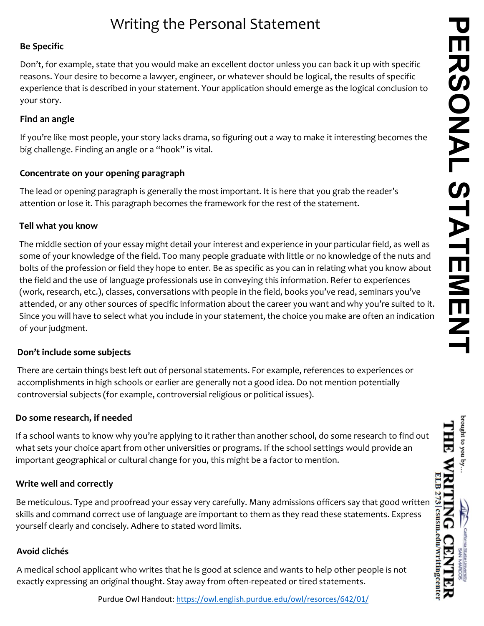brought to you by THE

*MRITING* 

**CENTER** 

# Writing the Personal Statement

#### **Be Specific**

Don't, for example, state that you would make an excellent doctor unless you can back it up with specific reasons. Your desire to become a lawyer, engineer, or whatever should be logical, the results of specific experience that is described in your statement. Your application should emerge as the logical conclusion to your story.

#### **Find an angle**

If you're like most people, your story lacks drama, so figuring out a way to make it interesting becomes the big challenge. Finding an angle or a "hook" is vital.

## **Concentrate on your opening paragraph**

The lead or opening paragraph is generally the most important. It is here that you grab the reader's attention or lose it. This paragraph becomes the framework for the rest of the statement.

#### **Tell what you know**

The middle section of your essay might detail your interest and experience in your particular field, as well as some of your knowledge of the field. Too many people graduate with little or no knowledge of the nuts and bolts of the profession or field they hope to enter. Be as specific as you can in relating what you know about the field and the use of language professionals use in conveying this information. Refer to experiences (work, research, etc.), classes, conversations with people in the field, books you've read, seminars you've attended, or any other sources of specific information about the career you want and why you're suited to it. Since you will have to select what you include in your statement, the choice you make are often an indication of your judgment.

## **Don't include some subjects**

There are certain things best left out of personal statements. For example, references to experiences or accomplishments in high schools or earlier are generally not a good idea. Do not mention potentially controversial subjects (for example, controversial religious or political issues).

## **Do some research, if needed**

If a school wants to know why you're applying to it rather than another school, do some research to find out what sets your choice apart from other universities or programs. If the school settings would provide an important geographical or cultural change for you, this might be a factor to mention.

## **Write well and correctly**

Be meticulous. Type and proofread your essay very carefully. Many admissions officers say that good written skills and command correct use of language are important to them as they read these statements. Express yourself clearly and concisely. Adhere to stated word limits.

## **Avoid clichés**

A medical school applicant who writes that he is good at science and wants to help other people is not exactly expressing an original thought. Stay away from often-repeated or tired statements.

Purdue Owl Handout: [https://owl.english.purdue.edu/owl/resorce](https://owl.english.purdue.edu/owl/resorces/642/01/)s/642/01/